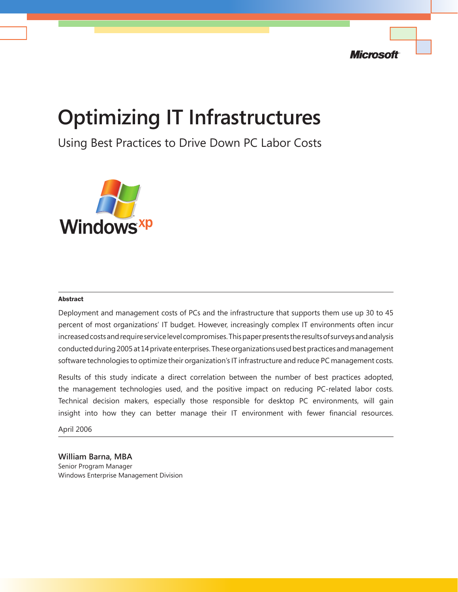# **Optimizing IT Infrastructures**

Using Best Practices to Drive Down PC Labor Costs



#### Abstract

Deployment and management costs of PCs and the infrastructure that supports them use up 30 to 45 percent of most organizations' IT budget. However, increasingly complex IT environments often incur increased costs and require service level compromises. This paper presents the results of surveys and analysis conducted during 2005 at 14 private enterprises. These organizations used best practices and management software technologies to optimize their organization's IT infrastructure and reduce PC management costs.

Results of this study indicate a direct correlation between the number of best practices adopted, the management technologies used, and the positive impact on reducing PC-related labor costs. Technical decision makers, especially those responsible for desktop PC environments, will gain insight into how they can better manage their IT environment with fewer financial resources.

April 2006

**William Barna, MBA** Senior Program Manager Windows Enterprise Management Division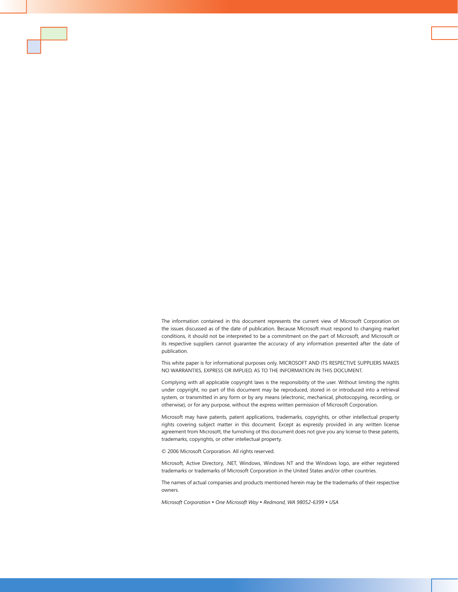The information contained in this document represents the current view of Microsoft Corporation on the issues discussed as of the date of publication. Because Microsoft must respond to changing market conditions, it should not be interpreted to be a commitment on the part of Microsoft, and Microsoft or its respective suppliers cannot guarantee the accuracy of any information presented after the date of publication.

This white paper is for informational purposes only. MICROSOFT AND ITS RESPECTIVE SUPPLIERS MAKES NO WARRANTIES, EXPRESS OR IMPLIED, AS TO THE INFORMATION IN THIS DOCUMENT.

Complying with all applicable copyright laws is the responsibility of the user. Without limiting the rights under copyright, no part of this document may be reproduced, stored in or introduced into a retrieval system, or transmitted in any form or by any means (electronic, mechanical, photocopying, recording, or otherwise), or for any purpose, without the express written permission of Microsoft Corporation.

Microsoft may have patents, patent applications, trademarks, copyrights, or other intellectual property rights covering subject matter in this document. Except as expressly provided in any written license agreement from Microsoft, the furnishing of this document does not give you any license to these patents, trademarks, copyrights, or other intellectual property.

© 2006 Microsoft Corporation. All rights reserved.

Microsoft, Active Directory, .NET, Windows, Windows NT and the Windows logo, are either registered trademarks or trademarks of Microsoft Corporation in the United States and/or other countries.

The names of actual companies and products mentioned herein may be the trademarks of their respective owners.

*Microsoft Corporation • One Microsoft Way • Redmond, WA 98052-6399 • USA*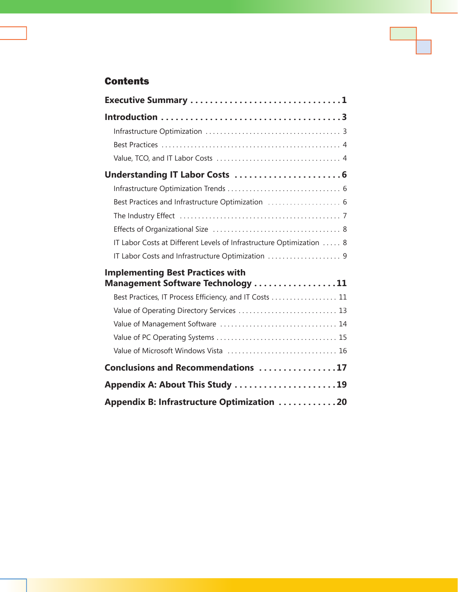# Contents

| Executive Summary $\dots\dots\dots\dots\dots\dots\dots\dots\dots\dots\dots$ |
|-----------------------------------------------------------------------------|
|                                                                             |
|                                                                             |
|                                                                             |
|                                                                             |
| Understanding IT Labor Costs  6                                             |
|                                                                             |
| Best Practices and Infrastructure Optimization  6                           |
|                                                                             |
|                                                                             |
| IT Labor Costs at Different Levels of Infrastructure Optimization  8        |
| IT Labor Costs and Infrastructure Optimization  9                           |
| <b>Implementing Best Practices with</b>                                     |
| Management Software Technology 11                                           |
| Best Practices, IT Process Efficiency, and IT Costs  11                     |
| Value of Operating Directory Services  13                                   |
|                                                                             |
|                                                                             |
| Value of Microsoft Windows Vista  16                                        |
| Conclusions and Recommendations 17                                          |
| Appendix A: About This Study 19                                             |
| Appendix B: Infrastructure Optimization 20                                  |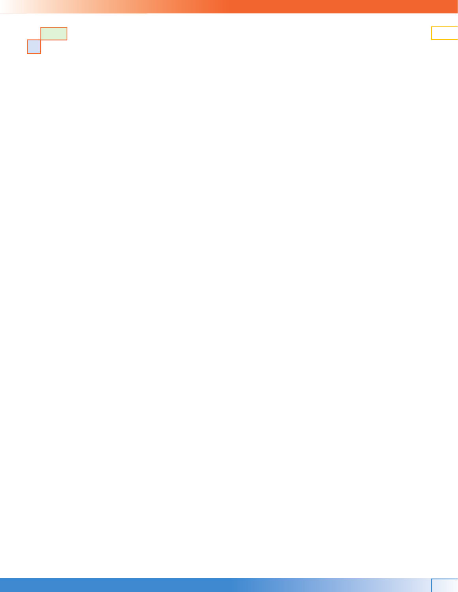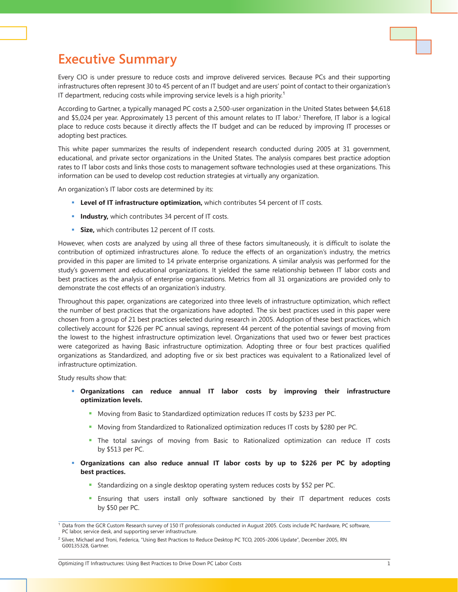# **Executive Summary**

Every CIO is under pressure to reduce costs and improve delivered services. Because PCs and their supporting infrastructures often represent 30 to 45 percent of an IT budget and are users' point of contact to their organization's IT department, reducing costs while improving service levels is a high priority.<sup>1</sup>

According to Gartner, a typically managed PC costs a 2,500-user organization in the United States between \$4,618 and \$5,024 per year. Approximately 13 percent of this amount relates to IT labor.<sup>2</sup> Therefore, IT labor is a logical place to reduce costs because it directly affects the IT budget and can be reduced by improving IT processes or adopting best practices.

This white paper summarizes the results of independent research conducted during 2005 at 31 government, educational, and private sector organizations in the United States. The analysis compares best practice adoption rates to IT labor costs and links those costs to management software technologies used at these organizations. This information can be used to develop cost reduction strategies at virtually any organization.

An organization's IT labor costs are determined by its:

- **Level of IT infrastructure optimization,** which contributes 54 percent of IT costs.
- **Industry,** which contributes 34 percent of IT costs.
- **Size,** which contributes 12 percent of IT costs.

However, when costs are analyzed by using all three of these factors simultaneously, it is difficult to isolate the contribution of optimized infrastructures alone. To reduce the effects of an organization's industry, the metrics provided in this paper are limited to 14 private enterprise organizations. A similar analysis was performed for the study's government and educational organizations. It yielded the same relationship between IT labor costs and best practices as the analysis of enterprise organizations. Metrics from all 31 organizations are provided only to demonstrate the cost effects of an organization's industry.

Throughout this paper, organizations are categorized into three levels of infrastructure optimization, which reflect the number of best practices that the organizations have adopted. The six best practices used in this paper were chosen from a group of 21 best practices selected during research in 2005. Adoption of these best practices, which collectively account for \$226 per PC annual savings, represent 44 percent of the potential savings of moving from the lowest to the highest infrastructure optimization level. Organizations that used two or fewer best practices were categorized as having Basic infrastructure optimization. Adopting three or four best practices qualified organizations as Standardized, and adopting five or six best practices was equivalent to a Rationalized level of infrastructure optimization.

Study results show that:

- ß **Organizations can reduce annual IT labor costs by improving their infrastructure optimization levels.**
	- **•** Moving from Basic to Standardized optimization reduces IT costs by \$233 per PC.
	- Moving from Standardized to Rationalized optimization reduces IT costs by \$280 per PC.
	- **The total savings of moving from Basic to Rationalized optimization can reduce IT costs** by \$513 per PC.
- **•** Organizations can also reduce annual IT labor costs by up to \$226 per PC by adopting **best practices.** 
	- **Standardizing on a single desktop operating system reduces costs by \$52 per PC.**
	- **E** Ensuring that users install only software sanctioned by their IT department reduces costs by \$50 per PC.

#### Optimizing IT Infrastructures: Using Best Practices to Drive Down PC Labor Costs 1

<sup>1</sup> Data from the GCR Custom Research survey of 150 IT professionals conducted in August 2005. Costs include PC hardware, PC software, PC labor, service desk, and supporting server infrastructure.

<sup>&</sup>lt;sup>2</sup> Silver, Michael and Troni, Federica, "Using Best Practices to Reduce Desktop PC TCO, 2005-2006 Update", December 2005, RN G00135328, Gartner.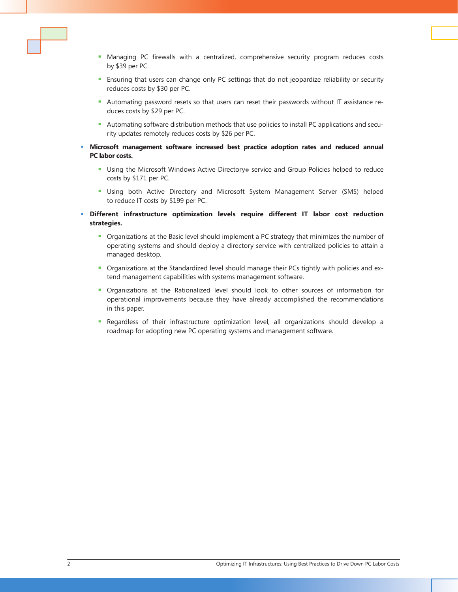

- " Managing PC firewalls with a centralized, comprehensive security program reduces costs by \$39 per PC.
- **E** Ensuring that users can change only PC settings that do not jeopardize reliability or security reduces costs by \$30 per PC.
- ß Automating password resets so that users can reset their passwords without IT assistance reduces costs by \$29 per PC.
- **•** Automating software distribution methods that use policies to install PC applications and security updates remotely reduces costs by \$26 per PC.
- **Microsoft management software increased best practice adoption rates and reduced annual PC labor costs.** 
	- **■** Using the Microsoft Windows Active Directory® service and Group Policies helped to reduce costs by \$171 per PC.
	- **Using both Active Directory and Microsoft System Management Server (SMS) helped** to reduce IT costs by \$199 per PC.
- **B** Different infrastructure optimization levels require different IT labor cost reduction **strategies.**
	- **•** Organizations at the Basic level should implement a PC strategy that minimizes the number of operating systems and should deploy a directory service with centralized policies to attain a managed desktop.
	- **•** Organizations at the Standardized level should manage their PCs tightly with policies and extend management capabilities with systems management software.
	- **•** Organizations at the Rationalized level should look to other sources of information for operational improvements because they have already accomplished the recommendations in this paper.
	- **B** Regardless of their infrastructure optimization level, all organizations should develop a roadmap for adopting new PC operating systems and management software.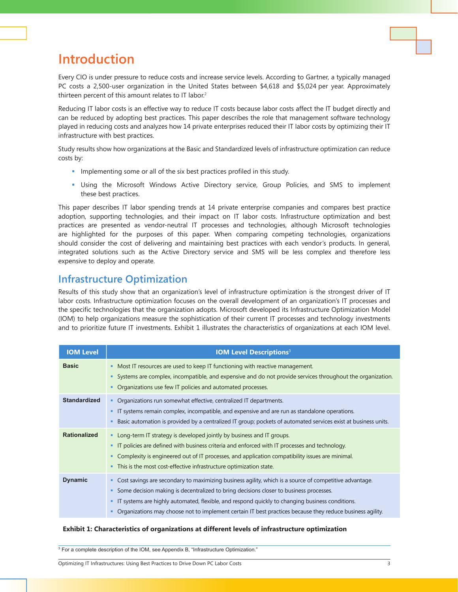# **Introduction**

Every CIO is under pressure to reduce costs and increase service levels. According to Gartner, a typically managed PC costs a 2,500-user organization in the United States between \$4,618 and \$5,024 per year. Approximately thirteen percent of this amount relates to IT labor.<sup>2</sup>

Reducing IT labor costs is an effective way to reduce IT costs because labor costs affect the IT budget directly and can be reduced by adopting best practices. This paper describes the role that management software technology played in reducing costs and analyzes how 14 private enterprises reduced their IT labor costs by optimizing their IT infrastructure with best practices.

Study results show how organizations at the Basic and Standardized levels of infrastructure optimization can reduce costs by:

- Implementing some or all of the six best practices profiled in this study.
- **•** Using the Microsoft Windows Active Directory service, Group Policies, and SMS to implement these best practices.

This paper describes IT labor spending trends at 14 private enterprise companies and compares best practice adoption, supporting technologies, and their impact on IT labor costs. Infrastructure optimization and best practices are presented as vendor-neutral IT processes and technologies, although Microsoft technologies are highlighted for the purposes of this paper. When comparing competing technologies, organizations should consider the cost of delivering and maintaining best practices with each vendor's products. In general, integrated solutions such as the Active Directory service and SMS will be less complex and therefore less expensive to deploy and operate.

## **Infrastructure Optimization**

Results of this study show that an organization's level of infrastructure optimization is the strongest driver of IT labor costs. Infrastructure optimization focuses on the overall development of an organization's IT processes and the specific technologies that the organization adopts. Microsoft developed its Infrastructure Optimization Model (IOM) to help organizations measure the sophistication of their current IT processes and technology investments and to prioritize future IT investments. Exhibit 1 illustrates the characteristics of organizations at each IOM level.

| <b>IOM Level</b>    | <b>IOM Level Descriptions<sup>3</sup></b>                                                                                                                                                                                                                                                                                                                                                                                       |
|---------------------|---------------------------------------------------------------------------------------------------------------------------------------------------------------------------------------------------------------------------------------------------------------------------------------------------------------------------------------------------------------------------------------------------------------------------------|
| <b>Basic</b>        | Most IT resources are used to keep IT functioning with reactive management.<br>٠<br>Systems are complex, incompatible, and expensive and do not provide services throughout the organization.<br>٠<br>Organizations use few IT policies and automated processes.<br>٠                                                                                                                                                           |
| <b>Standardized</b> | Organizations run somewhat effective, centralized IT departments.<br>٠<br>IT systems remain complex, incompatible, and expensive and are run as standalone operations.<br>٠<br>Basic automation is provided by a centralized IT group; pockets of automated services exist at business units.<br>■                                                                                                                              |
| <b>Rationalized</b> | Long-term IT strategy is developed jointly by business and IT groups.<br>٠<br>IT policies are defined with business criteria and enforced with IT processes and technology.<br>٠<br>Complexity is engineered out of IT processes, and application compatibility issues are minimal.<br>٠<br>This is the most cost-effective infrastructure optimization state.<br>٠                                                             |
| <b>Dynamic</b>      | Cost savings are secondary to maximizing business agility, which is a source of competitive advantage.<br>٠<br>Some decision making is decentralized to bring decisions closer to business processes.<br>■<br>IT systems are highly automated, flexible, and respond quickly to changing business conditions.<br>Organizations may choose not to implement certain IT best practices because they reduce business agility.<br>٠ |

#### **Exhibit 1: Characteristics of organizations at different levels of infrastructure optimization**

<sup>3</sup> For a complete description of the IOM, see Appendix B, "Infrastructure Optimization."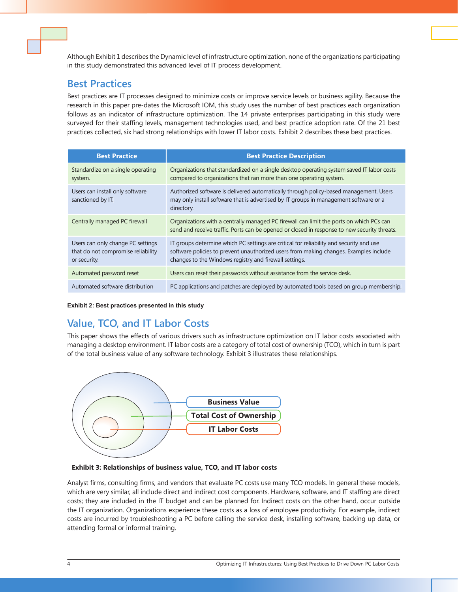Although Exhibit 1 describes the Dynamic level of infrastructure optimization, none of the organizations participating in this study demonstrated this advanced level of IT process development.

### **Best Practices**

Best practices are IT processes designed to minimize costs or improve service levels or business agility. Because the research in this paper pre-dates the Microsoft IOM, this study uses the number of best practices each organization follows as an indicator of infrastructure optimization. The 14 private enterprises participating in this study were surveyed for their staffing levels, management technologies used, and best practice adoption rate. Of the 21 best practices collected, six had strong relationships with lower IT labor costs. Exhibit 2 describes these best practices.

| <b>Best Practice</b>                                                                    | <b>Best Practice Description</b>                                                                                                                                                                                                           |
|-----------------------------------------------------------------------------------------|--------------------------------------------------------------------------------------------------------------------------------------------------------------------------------------------------------------------------------------------|
| Standardize on a single operating<br>system.                                            | Organizations that standardized on a single desktop operating system saved IT labor costs<br>compared to organizations that ran more than one operating system.                                                                            |
| Users can install only software<br>sanctioned by IT.                                    | Authorized software is delivered automatically through policy-based management. Users<br>may only install software that is advertised by IT groups in management software or a<br>directory.                                               |
| Centrally managed PC firewall                                                           | Organizations with a centrally managed PC firewall can limit the ports on which PCs can<br>send and receive traffic. Ports can be opened or closed in response to new security threats.                                                    |
| Users can only change PC settings<br>that do not compromise reliability<br>or security. | IT groups determine which PC settings are critical for reliability and security and use<br>software policies to prevent unauthorized users from making changes. Examples include<br>changes to the Windows registry and firewall settings. |
| Automated password reset                                                                | Users can reset their passwords without assistance from the service desk.                                                                                                                                                                  |
| Automated software distribution                                                         | PC applications and patches are deployed by automated tools based on group membership.                                                                                                                                                     |

**Exhibit 2: Best practices presented in this study**

# **Value, TCO, and IT Labor Costs**

This paper shows the effects of various drivers such as infrastructure optimization on IT labor costs associated with managing a desktop environment. IT labor costs are a category of total cost of ownership (TCO), which in turn is part of the total business value of any software technology. Exhibit 3 illustrates these relationships.



#### **Exhibit 3: Relationships of business value, TCO, and IT labor costs**

Analyst firms, consulting firms, and vendors that evaluate PC costs use many TCO models. In general these models, which are very similar, all include direct and indirect cost components. Hardware, software, and IT staffing are direct costs; they are included in the IT budget and can be planned for. Indirect costs on the other hand, occur outside the IT organization. Organizations experience these costs as a loss of employee productivity. For example, indirect costs are incurred by troubleshooting a PC before calling the service desk, installing software, backing up data, or attending formal or informal training.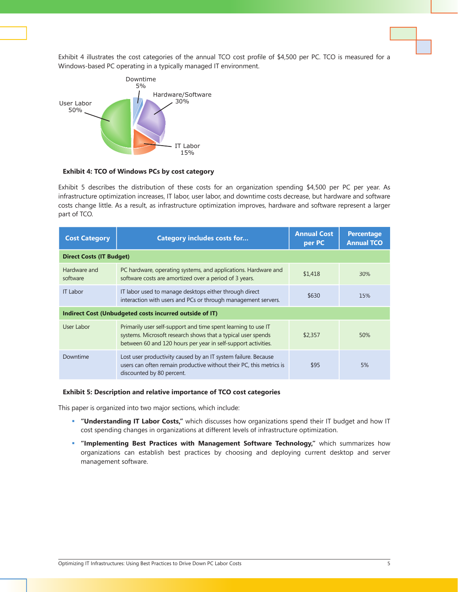Exhibit 4 illustrates the cost categories of the annual TCO cost profile of \$4,500 per PC. TCO is measured for a Windows-based PC operating in a typically managed IT environment.



#### **Exhibit 4: TCO of Windows PCs by cost category**

Exhibit 5 describes the distribution of these costs for an organization spending \$4,500 per PC per year. As infrastructure optimization increases, IT labor, user labor, and downtime costs decrease, but hardware and software costs change little. As a result, as infrastructure optimization improves, hardware and software represent a larger part of TCO.

| <b>Cost Category</b>                                    | <b>Category includes costs for</b>                                                                                                                                                                        | <b>Annual Cost</b><br>per PC | <b>Percentage</b><br><b>Annual TCO</b> |  |
|---------------------------------------------------------|-----------------------------------------------------------------------------------------------------------------------------------------------------------------------------------------------------------|------------------------------|----------------------------------------|--|
| <b>Direct Costs (IT Budget)</b>                         |                                                                                                                                                                                                           |                              |                                        |  |
| Hardware and<br>software                                | PC hardware, operating systems, and applications. Hardware and<br>software costs are amortized over a period of 3 years.                                                                                  | \$1,418                      | 30%                                    |  |
| <b>IT Labor</b>                                         | IT labor used to manage desktops either through direct<br>interaction with users and PCs or through management servers.                                                                                   | \$630                        | 15%                                    |  |
| Indirect Cost (Unbudgeted costs incurred outside of IT) |                                                                                                                                                                                                           |                              |                                        |  |
| User Labor                                              | Primarily user self-support and time spent learning to use IT<br>systems. Microsoft research shows that a typical user spends<br>\$2,357<br>between 60 and 120 hours per year in self-support activities. |                              | 50%                                    |  |
| Downtime                                                | Lost user productivity caused by an IT system failure. Because<br>users can often remain productive without their PC, this metrics is<br>discounted by 80 percent.                                        | \$95                         | 5%                                     |  |

#### **Exhibit 5: Description and relative importance of TCO cost categories**

This paper is organized into two major sections, which include:

- ß **"Understanding IT Labor Costs,"** which discusses how organizations spend their IT budget and how IT cost spending changes in organizations at different levels of infrastructure optimization.
- **<sup>■</sup> "Implementing Best Practices with Management Software Technology,"** which summarizes how organizations can establish best practices by choosing and deploying current desktop and server management software.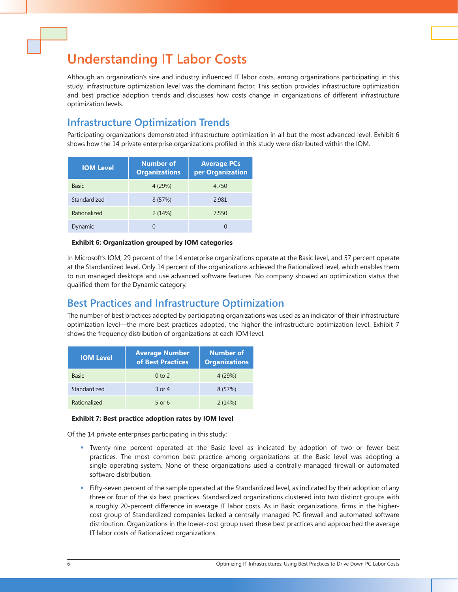# **Understanding IT Labor Costs**

Although an organization's size and industry influenced IT labor costs, among organizations participating in this study, infrastructure optimization level was the dominant factor. This section provides infrastructure optimization and best practice adoption trends and discusses how costs change in organizations of different infrastructure optimization levels.

# **Infrastructure Optimization Trends**

Participating organizations demonstrated infrastructure optimization in all but the most advanced level. Exhibit 6 shows how the 14 private enterprise organizations profiled in this study were distributed within the IOM.

| <b>IOM Level</b> | <b>Number of</b><br><b>Organizations</b> | <b>Average PCs</b><br>per Organization |
|------------------|------------------------------------------|----------------------------------------|
| <b>Basic</b>     | 4(29%)                                   | 4,750                                  |
| Standardized     | 8(57%)                                   | 2,981                                  |
| Rationalized     | 2(14%)                                   | 7,550                                  |
| าamic            |                                          |                                        |

#### **Exhibit 6: Organization grouped by IOM categories**

In Microsoft's IOM, 29 percent of the 14 enterprise organizations operate at the Basic level, and 57 percent operate at the Standardized level. Only 14 percent of the organizations achieved the Rationalized level, which enables them to run managed desktops and use advanced software features. No company showed an optimization status that qualified them for the Dynamic category.

# **Best Practices and Infrastructure Optimization**

The number of best practices adopted by participating organizations was used as an indicator of their infrastructure optimization level—the more best practices adopted, the higher the infrastructure optimization level. Exhibit 7 shows the frequency distribution of organizations at each IOM level.

| <b>IOM Level</b> | <b>Average Number</b><br>of Best Practices | <b>Number of</b><br><b>Organizations</b> |
|------------------|--------------------------------------------|------------------------------------------|
| <b>Basic</b>     | $0$ to $2$                                 | 4(29%)                                   |
| Standardized     | $3$ or 4                                   | 8(57%)                                   |
| Rationalized     | $5$ or $6$                                 | 2(14%)                                   |

#### **Exhibit 7: Best practice adoption rates by IOM level**

Of the 14 private enterprises participating in this study:

- ß Twenty-nine percent operated at the Basic level as indicated by adoption of two or fewer best practices. The most common best practice among organizations at the Basic level was adopting a single operating system. None of these organizations used a centrally managed firewall or automated software distribution.
- **Fifty-seven percent of the sample operated at the Standardized level, as indicated by their adoption of any** three or four of the six best practices. Standardized organizations clustered into two distinct groups with a roughly 20-percent difference in average IT labor costs. As in Basic organizations, firms in the highercost group of Standardized companies lacked a centrally managed PC firewall and automated software distribution. Organizations in the lower-cost group used these best practices and approached the average IT labor costs of Rationalized organizations.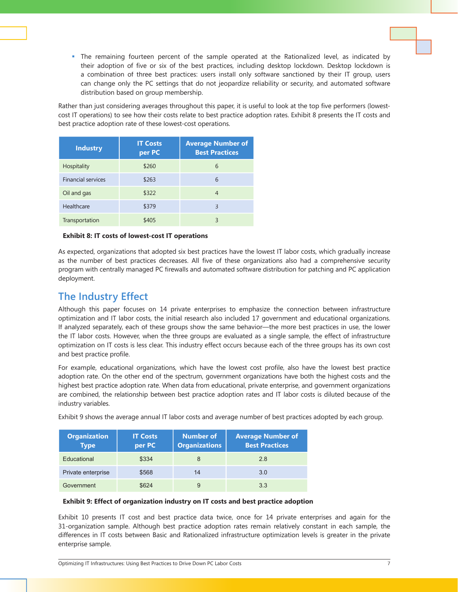• The remaining fourteen percent of the sample operated at the Rationalized level, as indicated by their adoption of five or six of the best practices, including desktop lockdown. Desktop lockdown is a combination of three best practices: users install only software sanctioned by their IT group, users can change only the PC settings that do not jeopardize reliability or security, and automated software distribution based on group membership.

Rather than just considering averages throughout this paper, it is useful to look at the top five performers (lowestcost IT operations) to see how their costs relate to best practice adoption rates. Exhibit 8 presents the IT costs and best practice adoption rate of these lowest-cost operations.

| <b>Industry</b>           | <b>IT Costs</b><br>per PC | <b>Average Number of</b><br><b>Best Practices</b> |
|---------------------------|---------------------------|---------------------------------------------------|
| Hospitality               | \$260                     | 6                                                 |
| <b>Financial services</b> | \$263                     | 6                                                 |
| Oil and gas               | \$322                     | $\overline{4}$                                    |
| Healthcare                | \$379                     | 3                                                 |
| Transportation            | \$405                     | ς                                                 |

#### **Exhibit 8: IT costs of lowest-cost IT operations**

As expected, organizations that adopted six best practices have the lowest IT labor costs, which gradually increase as the number of best practices decreases. All five of these organizations also had a comprehensive security program with centrally managed PC firewalls and automated software distribution for patching and PC application deployment.

### **The Industry Effect**

Although this paper focuses on 14 private enterprises to emphasize the connection between infrastructure optimization and IT labor costs, the initial research also included 17 government and educational organizations. If analyzed separately, each of these groups show the same behavior—the more best practices in use, the lower the IT labor costs. However, when the three groups are evaluated as a single sample, the effect of infrastructure optimization on IT costs is less clear. This industry effect occurs because each of the three groups has its own cost and best practice profile.

For example, educational organizations, which have the lowest cost profile, also have the lowest best practice adoption rate. On the other end of the spectrum, government organizations have both the highest costs and the highest best practice adoption rate. When data from educational, private enterprise, and government organizations are combined, the relationship between best practice adoption rates and IT labor costs is diluted because of the industry variables.

| <b>Organization</b><br><b>Type</b> | <b>IT Costs</b><br>per PC | <b>Number of</b><br><b>Organizations</b> | <b>Average Number of</b><br><b>Best Practices</b> |
|------------------------------------|---------------------------|------------------------------------------|---------------------------------------------------|
| Educational                        | \$334                     | 8                                        | 2.8                                               |
| Private enterprise                 | \$568                     | 14                                       | 3.0                                               |
| Government                         | \$624                     | 9                                        | 3.3                                               |

Exhibit 9 shows the average annual IT labor costs and average number of best practices adopted by each group.

#### **Exhibit 9: Effect of organization industry on IT costs and best practice adoption**

Exhibit 10 presents IT cost and best practice data twice, once for 14 private enterprises and again for the 31-organization sample. Although best practice adoption rates remain relatively constant in each sample, the differences in IT costs between Basic and Rationalized infrastructure optimization levels is greater in the private enterprise sample.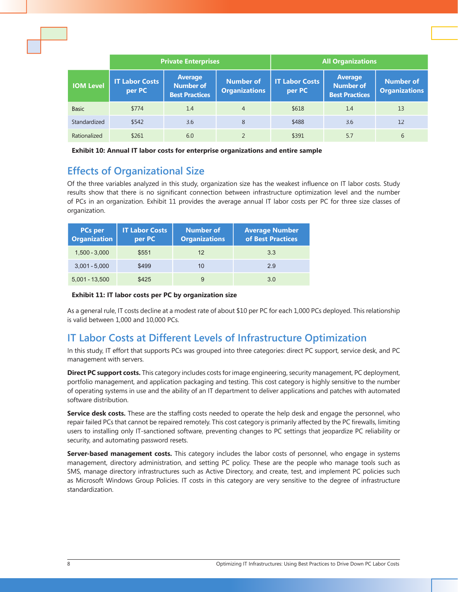|                  | <b>Private Enterprises</b>      |                                                             |                                          |                                 | <b>All Organizations</b>                                    |                                          |
|------------------|---------------------------------|-------------------------------------------------------------|------------------------------------------|---------------------------------|-------------------------------------------------------------|------------------------------------------|
| <b>IOM Level</b> | <b>IT Labor Costs</b><br>per PC | <b>Average</b><br><b>Number of</b><br><b>Best Practices</b> | <b>Number of</b><br><b>Organizations</b> | <b>IT Labor Costs</b><br>per PC | <b>Average</b><br><b>Number of</b><br><b>Best Practices</b> | <b>Number of</b><br><b>Organizations</b> |
| <b>Basic</b>     | \$774                           | 1.4                                                         | $\overline{4}$                           | \$618                           | 1.4                                                         | 13                                       |
| Standardized     | \$542                           | 3.6                                                         | 8                                        | \$488                           | 3.6                                                         | 12                                       |
| Rationalized     | \$261                           | 6.0                                                         |                                          | \$391                           | 5.7                                                         | 6                                        |

**Exhibit 10: Annual IT labor costs for enterprise organizations and entire sample**

# **Effects of Organizational Size**

Of the three variables analyzed in this study, organization size has the weakest influence on IT labor costs. Study results show that there is no significant connection between infrastructure optimization level and the number of PCs in an organization. Exhibit 11 provides the average annual IT labor costs per PC for three size classes of organization.

| <b>PCs per</b><br><b>Organization</b> | <b>IT Labor Costs</b><br>per PC | Number of<br><b>Organizations</b> | <b>Average Number</b><br>of Best Practices |
|---------------------------------------|---------------------------------|-----------------------------------|--------------------------------------------|
| $1,500 - 3,000$                       | \$551                           | $12 \,$                           | 3.3                                        |
| $3,001 - 5,000$                       | \$499                           | 10                                | 29                                         |
| $5.001 - 13.500$                      | \$425                           | 9                                 | 3 O                                        |

#### **Exhibit 11: IT labor costs per PC by organization size**

As a general rule, IT costs decline at a modest rate of about \$10 per PC for each 1,000 PCs deployed. This relationship is valid between 1,000 and 10,000 PCs.

# **IT Labor Costs at Different Levels of Infrastructure Optimization**

In this study, IT effort that supports PCs was grouped into three categories: direct PC support, service desk, and PC management with servers.

**Direct PC support costs.** This category includes costs for image engineering, security management, PC deployment, portfolio management, and application packaging and testing. This cost category is highly sensitive to the number of operating systems in use and the ability of an IT department to deliver applications and patches with automated software distribution.

Service desk costs. These are the staffing costs needed to operate the help desk and engage the personnel, who repair failed PCs that cannot be repaired remotely. This cost category is primarily affected by the PC firewalls, limiting users to installing only IT-sanctioned software, preventing changes to PC settings that jeopardize PC reliability or security, and automating password resets.

**Server-based management costs.** This category includes the labor costs of personnel, who engage in systems management, directory administration, and setting PC policy. These are the people who manage tools such as SMS, manage directory infrastructures such as Active Directory, and create, test, and implement PC policies such as Microsoft Windows Group Policies. IT costs in this category are very sensitive to the degree of infrastructure standardization.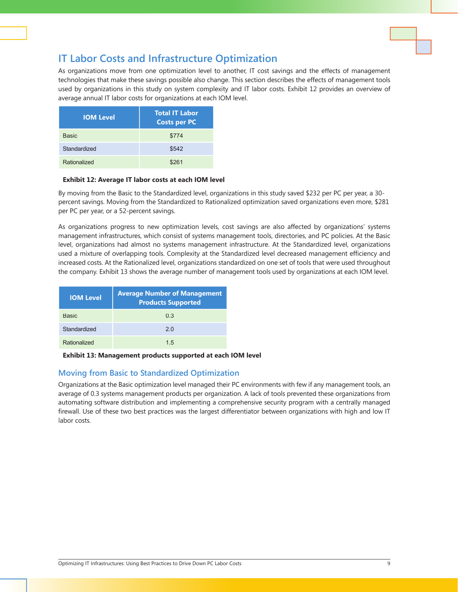# **IT Labor Costs and Infrastructure Optimization**

As organizations move from one optimization level to another, IT cost savings and the effects of management technologies that make these savings possible also change. This section describes the effects of management tools used by organizations in this study on system complexity and IT labor costs. Exhibit 12 provides an overview of average annual IT labor costs for organizations at each IOM level.

| <b>IOM Level</b> | <b>Total IT Labor</b><br><b>Costs per PC</b> |
|------------------|----------------------------------------------|
| <b>Basic</b>     | \$774                                        |
| Standardized     | \$542                                        |
| Rationalized     | \$261                                        |

#### **Exhibit 12: Average IT labor costs at each IOM level**

By moving from the Basic to the Standardized level, organizations in this study saved \$232 per PC per year, a 30 percent savings. Moving from the Standardized to Rationalized optimization saved organizations even more, \$281 per PC per year, or a 52-percent savings.

As organizations progress to new optimization levels, cost savings are also affected by organizations' systems management infrastructures, which consist of systems management tools, directories, and PC policies. At the Basic level, organizations had almost no systems management infrastructure. At the Standardized level, organizations used a mixture of overlapping tools. Complexity at the Standardized level decreased management efficiency and increased costs. At the Rationalized level, organizations standardized on one set of tools that were used throughout the company. Exhibit 13 shows the average number of management tools used by organizations at each IOM level.

| <b>IOM Level</b> | <b>Average Number of Management</b><br><b>Products Supported</b> |
|------------------|------------------------------------------------------------------|
| <b>Basic</b>     | 0.3                                                              |
| Standardized     | 20                                                               |
| Rationalized     | 15                                                               |

**Exhibit 13: Management products supported at each IOM level**

#### **Moving from Basic to Standardized Optimization**

Organizations at the Basic optimization level managed their PC environments with few if any management tools, an average of 0.3 systems management products per organization. A lack of tools prevented these organizations from automating software distribution and implementing a comprehensive security program with a centrally managed firewall. Use of these two best practices was the largest differentiator between organizations with high and low IT labor costs.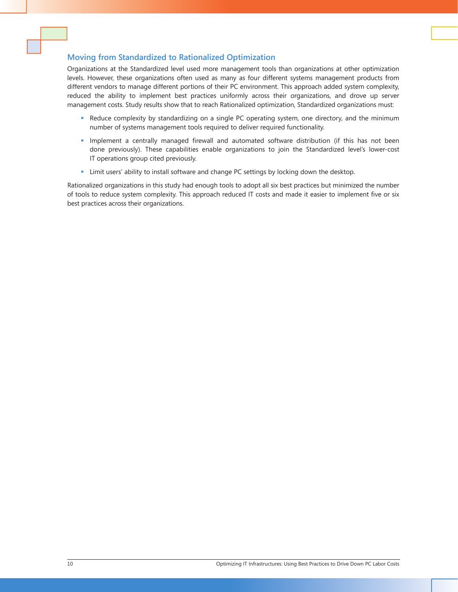#### **Moving from Standardized to Rationalized Optimization**

Organizations at the Standardized level used more management tools than organizations at other optimization levels. However, these organizations often used as many as four different systems management products from different vendors to manage different portions of their PC environment. This approach added system complexity, reduced the ability to implement best practices uniformly across their organizations, and drove up server management costs. Study results show that to reach Rationalized optimization, Standardized organizations must:

- Reduce complexity by standardizing on a single PC operating system, one directory, and the minimum number of systems management tools required to deliver required functionality.
- Implement a centrally managed firewall and automated software distribution (if this has not been done previously). These capabilities enable organizations to join the Standardized level's lower-cost IT operations group cited previously.
- **EXECT Limit users' ability to install software and change PC settings by locking down the desktop.**

Rationalized organizations in this study had enough tools to adopt all six best practices but minimized the number of tools to reduce system complexity. This approach reduced IT costs and made it easier to implement five or six best practices across their organizations.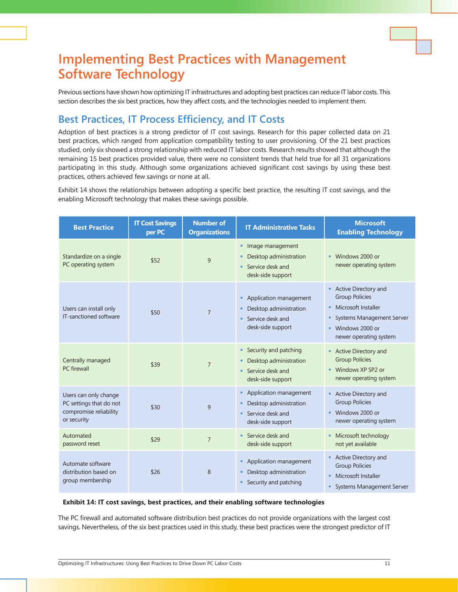# **Implementing Best Practices with Management Software Technology**

Previous sections have shown how optimizing IT infrastructures and adopting best practices can reduce IT labor costs. This section describes the six best practices, how they affect costs, and the technologies needed to implement them.

# **Best Practices, IT Process Efficiency, and IT Costs**

Adoption of best practices is a strong predictor of IT cost savings. Research for this paper collected data on 21 best practices, which ranged from application compatibility testing to user provisioning. Of the 21 best practices studied, only six showed a strong relationship with reduced IT labor costs. Research results showed that although the remaining 15 best practices provided value, there were no consistent trends that held true for all 31 organizations participating in this study. Although some organizations achieved significant cost savings by using these best practices, others achieved few savings or none at all.

Exhibit 14 shows the relationships between adopting a specific best practice, the resulting IT cost savings, and the enabling Microsoft technology that makes these savings possible.

| <b>Best Practice</b>                                                                      | <b>IT Cost Savings</b><br>per PC | <b>Number of</b><br><b>Organizations</b> | <b>IT Administrative Tasks</b>                                                                      | <b>Microsoft</b><br><b>Enabling Technology</b>                                                                                                                    |
|-------------------------------------------------------------------------------------------|----------------------------------|------------------------------------------|-----------------------------------------------------------------------------------------------------|-------------------------------------------------------------------------------------------------------------------------------------------------------------------|
| Standardize on a single<br>PC operating system                                            | \$52                             | 9                                        | • Image management<br>Desktop administration<br>Service desk and<br>٠<br>desk-side support          | • Windows 2000 or<br>newer operating system                                                                                                                       |
| Users can install only<br>IT-sanctioned software                                          | \$50                             | $\overline{7}$                           | Application management<br>٠<br>Desktop administration<br>Service desk and<br>٠<br>desk-side support | • Active Directory and<br><b>Group Policies</b><br>Microsoft Installer<br>٠<br><b>Systems Management Server</b><br>Windows 2000 or<br>٠<br>newer operating system |
| Centrally managed<br>PC firewall                                                          | \$39                             | $\overline{7}$                           | • Security and patching<br>Desktop administration<br>Service desk and<br>٠<br>desk-side support     | • Active Directory and<br><b>Group Policies</b><br>Windows XP SP2 or<br>٠<br>newer operating system                                                               |
| Users can only change<br>PC settings that do not<br>compromise reliability<br>or security | \$30                             | 9                                        | • Application management<br>Desktop administration<br>• Service desk and<br>desk-side support       | • Active Directory and<br><b>Group Policies</b><br>• Windows 2000 or<br>newer operating system                                                                    |
| Automated<br>password reset                                                               | \$29                             | $\overline{7}$                           | Service desk and<br>٠<br>desk-side support                                                          | Microsoft technology<br>٠<br>not yet available                                                                                                                    |
| Automate software<br>distribution based on<br>group membership                            | \$26                             | 8                                        | • Application management<br>Desktop administration<br>٠<br>• Security and patching                  | • Active Directory and<br><b>Group Policies</b><br>Microsoft Installer<br>• Systems Management Server                                                             |

#### **Exhibit 14: IT cost savings, best practices, and their enabling software technologies**

The PC firewall and automated software distribution best practices do not provide organizations with the largest cost savings. Nevertheless, of the six best practices used in this study, these best practices were the strongest predictor of IT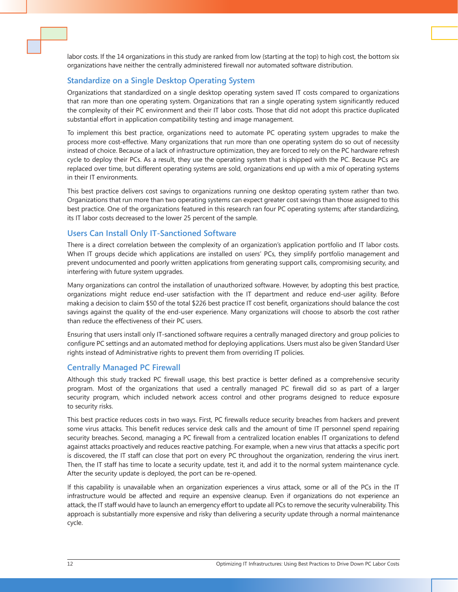labor costs. If the 14 organizations in this study are ranked from low (starting at the top) to high cost, the bottom six organizations have neither the centrally administered firewall nor automated software distribution.

### **Standardize on a Single Desktop Operating System**

Organizations that standardized on a single desktop operating system saved IT costs compared to organizations that ran more than one operating system. Organizations that ran a single operating system significantly reduced the complexity of their PC environment and their IT labor costs. Those that did not adopt this practice duplicated substantial effort in application compatibility testing and image management.

To implement this best practice, organizations need to automate PC operating system upgrades to make the process more cost-effective. Many organizations that run more than one operating system do so out of necessity instead of choice. Because of a lack of infrastructure optimization, they are forced to rely on the PC hardware refresh cycle to deploy their PCs. As a result, they use the operating system that is shipped with the PC. Because PCs are replaced over time, but different operating systems are sold, organizations end up with a mix of operating systems in their IT environments.

This best practice delivers cost savings to organizations running one desktop operating system rather than two. Organizations that run more than two operating systems can expect greater cost savings than those assigned to this best practice. One of the organizations featured in this research ran four PC operating systems; after standardizing, its IT labor costs decreased to the lower 25 percent of the sample.

#### **Users Can Install Only IT-Sanctioned Software**

There is a direct correlation between the complexity of an organization's application portfolio and IT labor costs. When IT groups decide which applications are installed on users' PCs, they simplify portfolio management and prevent undocumented and poorly written applications from generating support calls, compromising security, and interfering with future system upgrades.

Many organizations can control the installation of unauthorized software. However, by adopting this best practice, organizations might reduce end-user satisfaction with the IT department and reduce end-user agility. Before making a decision to claim \$50 of the total \$226 best practice IT cost benefit, organizations should balance the cost savings against the quality of the end-user experience. Many organizations will choose to absorb the cost rather than reduce the effectiveness of their PC users.

Ensuring that users install only IT-sanctioned software requires a centrally managed directory and group policies to configure PC settings and an automated method for deploying applications. Users must also be given Standard User rights instead of Administrative rights to prevent them from overriding IT policies.

#### **Centrally Managed PC Firewall**

Although this study tracked PC firewall usage, this best practice is better defined as a comprehensive security program. Most of the organizations that used a centrally managed PC firewall did so as part of a larger security program, which included network access control and other programs designed to reduce exposure to security risks.

This best practice reduces costs in two ways. First, PC firewalls reduce security breaches from hackers and prevent some virus attacks. This benefit reduces service desk calls and the amount of time IT personnel spend repairing security breaches. Second, managing a PC firewall from a centralized location enables IT organizations to defend against attacks proactively and reduces reactive patching. For example, when a new virus that attacks a specific port is discovered, the IT staff can close that port on every PC throughout the organization, rendering the virus inert. Then, the IT staff has time to locate a security update, test it, and add it to the normal system maintenance cycle. After the security update is deployed, the port can be re-opened.

If this capability is unavailable when an organization experiences a virus attack, some or all of the PCs in the IT infrastructure would be affected and require an expensive cleanup. Even if organizations do not experience an attack, the IT staff would have to launch an emergency effort to update all PCs to remove the security vulnerability. This approach is substantially more expensive and risky than delivering a security update through a normal maintenance cycle.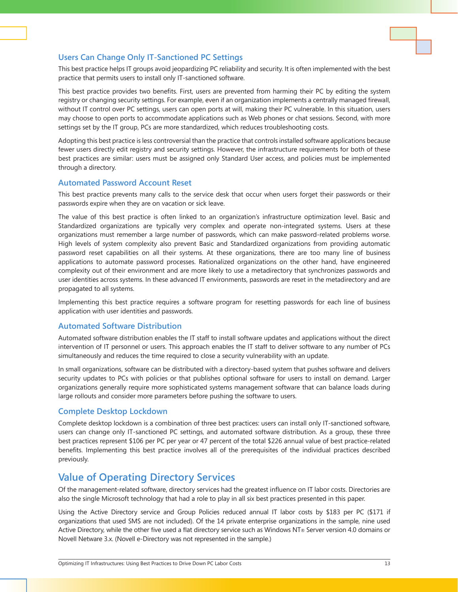### **Users Can Change Only IT-Sanctioned PC Settings**

This best practice helps IT groups avoid jeopardizing PC reliability and security. It is often implemented with the best practice that permits users to install only IT-sanctioned software.

This best practice provides two benefits. First, users are prevented from harming their PC by editing the system registry or changing security settings. For example, even if an organization implements a centrally managed firewall, without IT control over PC settings, users can open ports at will, making their PC vulnerable. In this situation, users may choose to open ports to accommodate applications such as Web phones or chat sessions. Second, with more settings set by the IT group, PCs are more standardized, which reduces troubleshooting costs.

Adopting this best practice is less controversial than the practice that controls installed software applications because fewer users directly edit registry and security settings. However, the infrastructure requirements for both of these best practices are similar: users must be assigned only Standard User access, and policies must be implemented through a directory.

#### **Automated Password Account Reset**

This best practice prevents many calls to the service desk that occur when users forget their passwords or their passwords expire when they are on vacation or sick leave.

The value of this best practice is often linked to an organization's infrastructure optimization level. Basic and Standardized organizations are typically very complex and operate non-integrated systems. Users at these organizations must remember a large number of passwords, which can make password-related problems worse. High levels of system complexity also prevent Basic and Standardized organizations from providing automatic password reset capabilities on all their systems. At these organizations, there are too many line of business applications to automate password processes. Rationalized organizations on the other hand, have engineered complexity out of their environment and are more likely to use a metadirectory that synchronizes passwords and user identities across systems. In these advanced IT environments, passwords are reset in the metadirectory and are propagated to all systems.

Implementing this best practice requires a software program for resetting passwords for each line of business application with user identities and passwords.

#### **Automated Software Distribution**

Automated software distribution enables the IT staff to install software updates and applications without the direct intervention of IT personnel or users. This approach enables the IT staff to deliver software to any number of PCs simultaneously and reduces the time required to close a security vulnerability with an update.

In small organizations, software can be distributed with a directory-based system that pushes software and delivers security updates to PCs with policies or that publishes optional software for users to install on demand. Larger organizations generally require more sophisticated systems management software that can balance loads during large rollouts and consider more parameters before pushing the software to users.

#### **Complete Desktop Lockdown**

Complete desktop lockdown is a combination of three best practices: users can install only IT-sanctioned software, users can change only IT-sanctioned PC settings, and automated software distribution. As a group, these three best practices represent \$106 per PC per year or 47 percent of the total \$226 annual value of best practice-related benefits. Implementing this best practice involves all of the prerequisites of the individual practices described previously.

# **Value of Operating Directory Services**

Of the management-related software, directory services had the greatest influence on IT labor costs. Directories are also the single Microsoft technology that had a role to play in all six best practices presented in this paper.

Using the Active Directory service and Group Policies reduced annual IT labor costs by \$183 per PC (\$171 if organizations that used SMS are not included). Of the 14 private enterprise organizations in the sample, nine used Active Directory, while the other five used a flat directory service such as Windows NT® Server version 4.0 domains or Novell Netware 3.x. (Novell e-Directory was not represented in the sample.)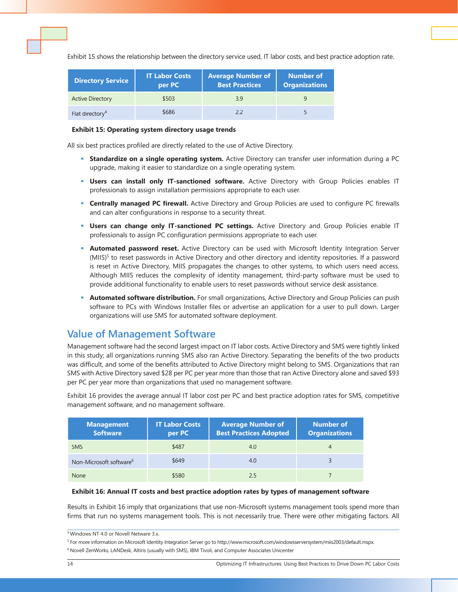Exhibit 15 shows the relationship between the directory service used, IT labor costs, and best practice adoption rate.

| <b>Directory Service</b>    | <b>IT Labor Costs</b><br>per PC | <b>Average Number of</b><br><b>Best Practices</b> | <b>Number of</b><br><b>Organizations</b> |
|-----------------------------|---------------------------------|---------------------------------------------------|------------------------------------------|
| <b>Active Directory</b>     | \$503                           | 3.9                                               |                                          |
| Flat directory <sup>4</sup> | \$686                           | 22                                                |                                          |

#### **Exhibit 15: Operating system directory usage trends**

All six best practices profiled are directly related to the use of Active Directory.

- **Standardize on a single operating system.** Active Directory can transfer user information during a PC upgrade, making it easier to standardize on a single operating system.
- **Users can install only IT-sanctioned software.** Active Directory with Group Policies enables IT professionals to assign installation permissions appropriate to each user.
- **Centrally managed PC firewall.** Active Directory and Group Policies are used to configure PC firewalls and can alter configurations in response to a security threat.
- **Users can change only IT-sanctioned PC settings.** Active Directory and Group Policies enable IT professionals to assign PC configuration permissions appropriate to each user.
- **Automated password reset.** Active Directory can be used with Microsoft Identity Integration Server (MIIS)<sup>5</sup> to reset passwords in Active Directory and other directory and identity repositories. If a password is reset in Active Directory, MIIS propagates the changes to other systems, to which users need access. Although MIIS reduces the complexity of identity management, third-party software must be used to provide additional functionality to enable users to reset passwords without service desk assistance.
- **Automated software distribution.** For small organizations, Active Directory and Group Policies can push software to PCs with Windows Installer files or advertise an application for a user to pull down. Larger organizations will use SMS for automated software deployment.

### **Value of Management Software**

Management software had the second largest impact on IT labor costs. Active Directory and SMS were tightly linked in this study; all organizations running SMS also ran Active Directory. Separating the benefits of the two products was difficult, and some of the benefits attributed to Active Directory might belong to SMS. Organizations that ran SMS with Active Directory saved \$28 per PC per year more than those that ran Active Directory alone and saved \$93 per PC per year more than organizations that used no management software.

Exhibit 16 provides the average annual IT labor cost per PC and best practice adoption rates for SMS, competitive management software, and no management software.

| <b>Management</b><br><b>Software</b> | <b>IT Labor Costs</b><br>per PC | <b>Average Number of</b><br><b>Best Practices Adopted</b> | <b>Number of</b><br><b>Organizations</b> |
|--------------------------------------|---------------------------------|-----------------------------------------------------------|------------------------------------------|
| <b>SMS</b>                           | \$487                           | 4.0                                                       |                                          |
| Non-Microsoft software <sup>6</sup>  | \$649                           | 4.0                                                       |                                          |
| None                                 | \$580                           | 25                                                        |                                          |

#### **Exhibit 16: Annual IT costs and best practice adoption rates by types of management software**

Results in Exhibit 16 imply that organizations that use non-Microsoft systems management tools spend more than firms that run no systems management tools. This is not necessarily true. There were other mitigating factors. All

<sup>&</sup>lt;sup>4</sup> Windows NT 4.0 or Novell Netware 3.x.

<sup>&</sup>lt;sup>5</sup> For more information on Microsoft Identity Integration Server go to http://www.microsoft.com/windowsserversystem/miis2003/default.mspx. <sup>6</sup> Novell ZenWorks, LANDesk, Altiris (usually with SMS), IBM Tivoli, and Computer Associates Unicenter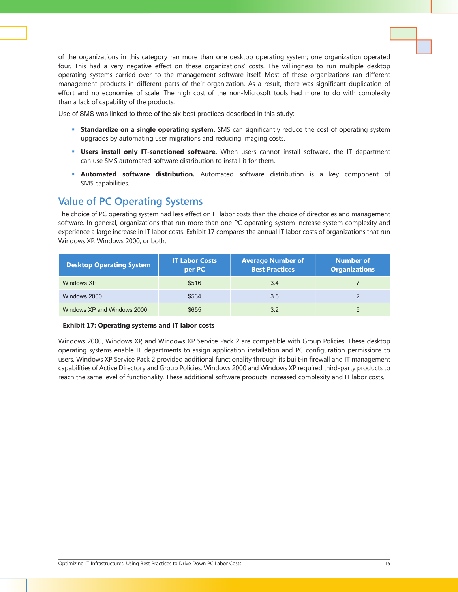of the organizations in this category ran more than one desktop operating system; one organization operated four. This had a very negative effect on these organizations' costs. The willingness to run multiple desktop operating systems carried over to the management software itself. Most of these organizations ran different management products in different parts of their organization. As a result, there was significant duplication of effort and no economies of scale. The high cost of the non-Microsoft tools had more to do with complexity than a lack of capability of the products.

Use of SMS was linked to three of the six best practices described in this study:

- **Standardize on a single operating system.** SMS can significantly reduce the cost of operating system upgrades by automating user migrations and reducing imaging costs.
- **Users install only IT-sanctioned software.** When users cannot install software, the IT department can use SMS automated software distribution to install it for them.
- ß **Automated software distribution.** Automated software distribution is a key component of SMS capabilities.

# **Value of PC Operating Systems**

The choice of PC operating system had less effect on IT labor costs than the choice of directories and management software. In general, organizations that run more than one PC operating system increase system complexity and experience a large increase in IT labor costs. Exhibit 17 compares the annual IT labor costs of organizations that run Windows XP, Windows 2000, or both.

| <b>Desktop Operating System</b> | <b>IT Labor Costs</b><br>per PC | <b>Average Number of</b><br><b>Best Practices</b> | Number of<br><b>Organizations</b> |
|---------------------------------|---------------------------------|---------------------------------------------------|-----------------------------------|
| Windows XP                      | \$516                           | 3.4                                               |                                   |
| Windows 2000                    | \$534                           | 3.5                                               |                                   |
| Windows XP and Windows 2000     | \$655                           | 3.2                                               | 5                                 |

#### **Exhibit 17: Operating systems and IT labor costs**

Windows 2000, Windows XP, and Windows XP Service Pack 2 are compatible with Group Policies. These desktop operating systems enable IT departments to assign application installation and PC configuration permissions to users. Windows XP Service Pack 2 provided additional functionality through its built-in firewall and IT management capabilities of Active Directory and Group Policies. Windows 2000 and Windows XP required third-party products to reach the same level of functionality. These additional software products increased complexity and IT labor costs.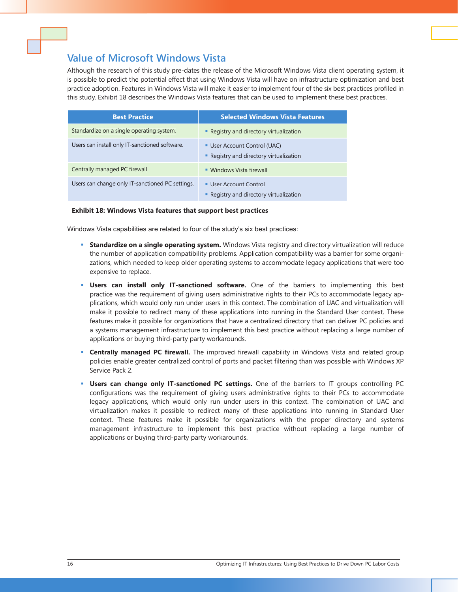# **Value of Microsoft Windows Vista**

Although the research of this study pre-dates the release of the Microsoft Windows Vista client operating system, it is possible to predict the potential effect that using Windows Vista will have on infrastructure optimization and best practice adoption. Features in Windows Vista will make it easier to implement four of the six best practices profiled in this study. Exhibit 18 describes the Windows Vista features that can be used to implement these best practices.

| <b>Best Practice</b>                             | <b>Selected Windows Vista Features</b>                                |
|--------------------------------------------------|-----------------------------------------------------------------------|
| Standardize on a single operating system.        | • Registry and directory virtualization                               |
| Users can install only IT-sanctioned software.   | User Account Control (UAC)<br>• Registry and directory virtualization |
| Centrally managed PC firewall                    | • Windows Vista firewall                                              |
| Users can change only IT-sanctioned PC settings. | User Account Control<br>• Registry and directory virtualization       |

#### **Exhibit 18: Windows Vista features that support best practices**

Windows Vista capabilities are related to four of the study's six best practices:

- **Standardize on a single operating system.** Windows Vista registry and directory virtualization will reduce the number of application compatibility problems. Application compatibility was a barrier for some organizations, which needed to keep older operating systems to accommodate legacy applications that were too expensive to replace.
- **Users can install only IT-sanctioned software.** One of the barriers to implementing this best practice was the requirement of giving users administrative rights to their PCs to accommodate legacy applications, which would only run under users in this context. The combination of UAC and virtualization will make it possible to redirect many of these applications into running in the Standard User context. These features make it possible for organizations that have a centralized directory that can deliver PC policies and a systems management infrastructure to implement this best practice without replacing a large number of applications or buying third-party party workarounds.
- **Centrally managed PC firewall.** The improved firewall capability in Windows Vista and related group policies enable greater centralized control of ports and packet filtering than was possible with Windows XP Service Pack 2.
- **Users can change only IT-sanctioned PC settings.** One of the barriers to IT groups controlling PC configurations was the requirement of giving users administrative rights to their PCs to accommodate legacy applications, which would only run under users in this context. The combination of UAC and virtualization makes it possible to redirect many of these applications into running in Standard User context. These features make it possible for organizations with the proper directory and systems management infrastructure to implement this best practice without replacing a large number of applications or buying third-party party workarounds.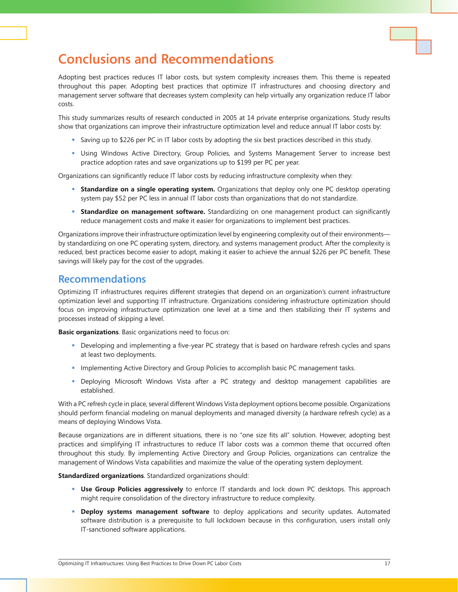# **Conclusions and Recommendations**

Adopting best practices reduces IT labor costs, but system complexity increases them. This theme is repeated throughout this paper. Adopting best practices that optimize IT infrastructures and choosing directory and management server software that decreases system complexity can help virtually any organization reduce IT labor costs.

This study summarizes results of research conducted in 2005 at 14 private enterprise organizations. Study results show that organizations can improve their infrastructure optimization level and reduce annual IT labor costs by:

- **Saving up to \$226 per PC in IT labor costs by adopting the six best practices described in this study.**
- **Using Windows Active Directory, Group Policies, and Systems Management Server to increase best** practice adoption rates and save organizations up to \$199 per PC per year.

Organizations can significantly reduce IT labor costs by reducing infrastructure complexity when they:

- **Standardize on a single operating system.** Organizations that deploy only one PC desktop operating system pay \$52 per PC less in annual IT labor costs than organizations that do not standardize.
- **Standardize on management software.** Standardizing on one management product can significantly reduce management costs and make it easier for organizations to implement best practices.

Organizations improve their infrastructure optimization level by engineering complexity out of their environments by standardizing on one PC operating system, directory, and systems management product. After the complexity is reduced, best practices become easier to adopt, making it easier to achieve the annual \$226 per PC benefit. These savings will likely pay for the cost of the upgrades.

### **Recommendations**

Optimizing IT infrastructures requires different strategies that depend on an organization's current infrastructure optimization level and supporting IT infrastructure. Organizations considering infrastructure optimization should focus on improving infrastructure optimization one level at a time and then stabilizing their IT systems and processes instead of skipping a level.

**Basic organizations**. Basic organizations need to focus on:

- Developing and implementing a five-year PC strategy that is based on hardware refresh cycles and spans at least two deployments.
- **Implementing Active Directory and Group Policies to accomplish basic PC management tasks.**
- ß Deploying Microsoft Windows Vista after a PC strategy and desktop management capabilities are established.

With a PC refresh cycle in place, several different Windows Vista deployment options become possible. Organizations should perform financial modeling on manual deployments and managed diversity (a hardware refresh cycle) as a means of deploying Windows Vista.

Because organizations are in different situations, there is no "one size fits all" solution. However, adopting best practices and simplifying IT infrastructures to reduce IT labor costs was a common theme that occurred often throughout this study. By implementing Active Directory and Group Policies, organizations can centralize the management of Windows Vista capabilities and maximize the value of the operating system deployment.

**Standardized organizations**. Standardized organizations should:

- **Use Group Policies aggressively** to enforce IT standards and lock down PC desktops. This approach might require consolidation of the directory infrastructure to reduce complexity.
- **Deploy systems management software** to deploy applications and security updates. Automated software distribution is a prerequisite to full lockdown because in this configuration, users install only IT-sanctioned software applications.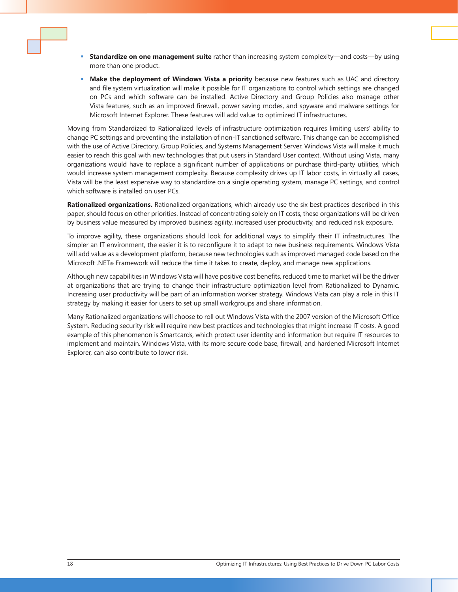- **Standardize on one management suite** rather than increasing system complexity—and costs—by using more than one product.
- **Make the deployment of Windows Vista a priority** because new features such as UAC and directory and file system virtualization will make it possible for IT organizations to control which settings are changed on PCs and which software can be installed. Active Directory and Group Policies also manage other Vista features, such as an improved firewall, power saving modes, and spyware and malware settings for Microsoft Internet Explorer. These features will add value to optimized IT infrastructures.

Moving from Standardized to Rationalized levels of infrastructure optimization requires limiting users' ability to change PC settings and preventing the installation of non-IT sanctioned software. This change can be accomplished with the use of Active Directory, Group Policies, and Systems Management Server. Windows Vista will make it much easier to reach this goal with new technologies that put users in Standard User context. Without using Vista, many organizations would have to replace a significant number of applications or purchase third-party utilities, which would increase system management complexity. Because complexity drives up IT labor costs, in virtually all cases, Vista will be the least expensive way to standardize on a single operating system, manage PC settings, and control which software is installed on user PCs.

**Rationalized organizations.** Rationalized organizations, which already use the six best practices described in this paper, should focus on other priorities. Instead of concentrating solely on IT costs, these organizations will be driven by business value measured by improved business agility, increased user productivity, and reduced risk exposure.

To improve agility, these organizations should look for additional ways to simplify their IT infrastructures. The simpler an IT environment, the easier it is to reconfiqure it to adapt to new business requirements. Windows Vista will add value as a development platform, because new technologies such as improved managed code based on the Microsoft .NET® Framework will reduce the time it takes to create, deploy, and manage new applications.

Although new capabilities in Windows Vista will have positive cost benefits, reduced time to market will be the driver at organizations that are trying to change their infrastructure optimization level from Rationalized to Dynamic. Increasing user productivity will be part of an information worker strategy. Windows Vista can play a role in this IT strategy by making it easier for users to set up small workgroups and share information.

Many Rationalized organizations will choose to roll out Windows Vista with the 2007 version of the Microsoft Office System. Reducing security risk will require new best practices and technologies that might increase IT costs. A good example of this phenomenon is Smartcards, which protect user identity and information but require IT resources to implement and maintain. Windows Vista, with its more secure code base, firewall, and hardened Microsoft Internet Explorer, can also contribute to lower risk.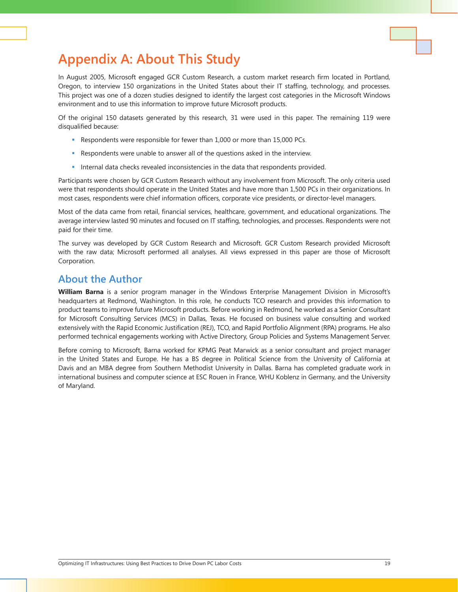

# **Appendix A: About This Study**

In August 2005, Microsoft engaged GCR Custom Research, a custom market research firm located in Portland, Oregon, to interview 150 organizations in the United States about their IT staffing, technology, and processes. This project was one of a dozen studies designed to identify the largest cost categories in the Microsoft Windows environment and to use this information to improve future Microsoft products.

Of the original 150 datasets generated by this research, 31 were used in this paper. The remaining 119 were disqualified because:

- Respondents were responsible for fewer than 1,000 or more than 15,000 PCs.
- ß Respondents were unable to answer all of the questions asked in the interview.
- **Internal data checks revealed inconsistencies in the data that respondents provided.**

Participants were chosen by GCR Custom Research without any involvement from Microsoft. The only criteria used were that respondents should operate in the United States and have more than 1,500 PCs in their organizations. In most cases, respondents were chief information officers, corporate vice presidents, or director-level managers.

Most of the data came from retail, financial services, healthcare, government, and educational organizations. The average interview lasted 90 minutes and focused on IT staffing, technologies, and processes. Respondents were not paid for their time.

The survey was developed by GCR Custom Research and Microsoft. GCR Custom Research provided Microsoft with the raw data; Microsoft performed all analyses. All views expressed in this paper are those of Microsoft Corporation.

### **About the Author**

**William Barna** is a senior program manager in the Windows Enterprise Management Division in Microsoft's headquarters at Redmond, Washington. In this role, he conducts TCO research and provides this information to product teams to improve future Microsoft products. Before working in Redmond, he worked as a Senior Consultant for Microsoft Consulting Services (MCS) in Dallas, Texas. He focused on business value consulting and worked extensively with the Rapid Economic Justification (REJ), TCO, and Rapid Portfolio Alignment (RPA) programs. He also performed technical engagements working with Active Directory, Group Policies and Systems Management Server.

Before coming to Microsoft, Barna worked for KPMG Peat Marwick as a senior consultant and project manager in the United States and Europe. He has a BS degree in Political Science from the University of California at Davis and an MBA degree from Southern Methodist University in Dallas. Barna has completed graduate work in international business and computer science at ESC Rouen in France, WHU Koblenz in Germany, and the University of Maryland.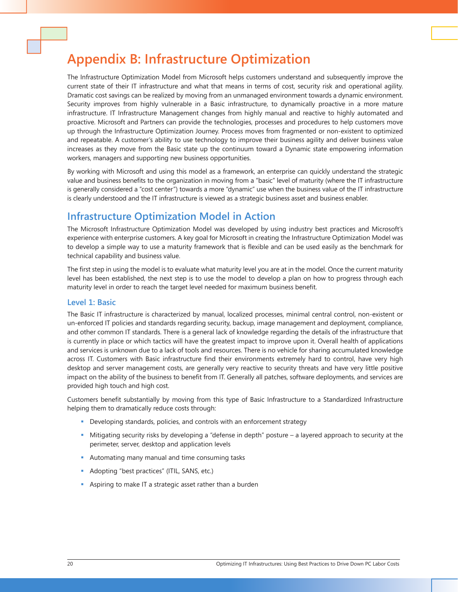# **Appendix B: Infrastructure Optimization**

The Infrastructure Optimization Model from Microsoft helps customers understand and subsequently improve the current state of their IT infrastructure and what that means in terms of cost, security risk and operational agility. Dramatic cost savings can be realized by moving from an unmanaged environment towards a dynamic environment. Security improves from highly vulnerable in a Basic infrastructure, to dynamically proactive in a more mature infrastructure. IT Infrastructure Management changes from highly manual and reactive to highly automated and proactive. Microsoft and Partners can provide the technologies, processes and procedures to help customers move up through the Infrastructure Optimization Journey. Process moves from fragmented or non-existent to optimized and repeatable. A customer's ability to use technology to improve their business agility and deliver business value increases as they move from the Basic state up the continuum toward a Dynamic state empowering information workers, managers and supporting new business opportunities.

By working with Microsoft and using this model as a framework, an enterprise can quickly understand the strategic value and business benefits to the organization in moving from a "basic" level of maturity (where the IT infrastructure is generally considered a "cost center") towards a more "dynamic" use when the business value of the IT infrastructure is clearly understood and the IT infrastructure is viewed as a strategic business asset and business enabler.

# **Infrastructure Optimization Model in Action**

The Microsoft Infrastructure Optimization Model was developed by using industry best practices and Microsoft's experience with enterprise customers. A key goal for Microsoft in creating the Infrastructure Optimization Model was to develop a simple way to use a maturity framework that is flexible and can be used easily as the benchmark for technical capability and business value.

The first step in using the model is to evaluate what maturity level you are at in the model. Once the current maturity level has been established, the next step is to use the model to develop a plan on how to progress through each maturity level in order to reach the target level needed for maximum business benefit.

#### **Level 1: Basic**

The Basic IT infrastructure is characterized by manual, localized processes, minimal central control, non-existent or un-enforced IT policies and standards regarding security, backup, image management and deployment, compliance, and other common IT standards. There is a general lack of knowledge regarding the details of the infrastructure that is currently in place or which tactics will have the greatest impact to improve upon it. Overall health of applications and services is unknown due to a lack of tools and resources. There is no vehicle for sharing accumulated knowledge across IT. Customers with Basic infrastructure find their environments extremely hard to control, have very high desktop and server management costs, are generally very reactive to security threats and have very little positive impact on the ability of the business to benefit from IT. Generally all patches, software deployments, and services are provided high touch and high cost.

Customers benefit substantially by moving from this type of Basic Infrastructure to a Standardized Infrastructure helping them to dramatically reduce costs through:

- **•** Developing standards, policies, and controls with an enforcement strategy
- ß Mitigating security risks by developing a "defense in depth" posture a layered approach to security at the perimeter, server, desktop and application levels
- **Automating many manual and time consuming tasks**
- **Adopting "best practices" (ITIL, SANS, etc.)**
- **B** Aspiring to make IT a strategic asset rather than a burden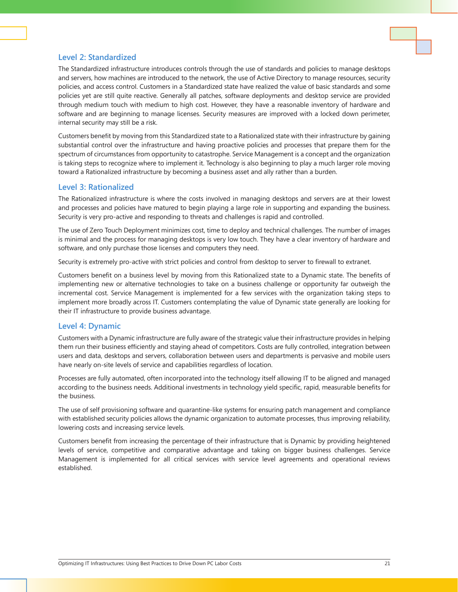#### **Level 2: Standardized**

The Standardized infrastructure introduces controls through the use of standards and policies to manage desktops and servers, how machines are introduced to the network, the use of Active Directory to manage resources, security policies, and access control. Customers in a Standardized state have realized the value of basic standards and some policies yet are still quite reactive. Generally all patches, software deployments and desktop service are provided through medium touch with medium to high cost. However, they have a reasonable inventory of hardware and software and are beginning to manage licenses. Security measures are improved with a locked down perimeter, internal security may still be a risk.

Customers benefit by moving from this Standardized state to a Rationalized state with their infrastructure by gaining substantial control over the infrastructure and having proactive policies and processes that prepare them for the spectrum of circumstances from opportunity to catastrophe. Service Management is a concept and the organization is taking steps to recognize where to implement it. Technology is also beginning to play a much larger role moving toward a Rationalized infrastructure by becoming a business asset and ally rather than a burden.

#### **Level 3: Rationalized**

The Rationalized infrastructure is where the costs involved in managing desktops and servers are at their lowest and processes and policies have matured to begin playing a large role in supporting and expanding the business. Security is very pro-active and responding to threats and challenges is rapid and controlled.

The use of Zero Touch Deployment minimizes cost, time to deploy and technical challenges. The number of images is minimal and the process for managing desktops is very low touch. They have a clear inventory of hardware and software, and only purchase those licenses and computers they need.

Security is extremely pro-active with strict policies and control from desktop to server to firewall to extranet.

Customers benefit on a business level by moving from this Rationalized state to a Dynamic state. The benefits of implementing new or alternative technologies to take on a business challenge or opportunity far outweigh the incremental cost. Service Management is implemented for a few services with the organization taking steps to implement more broadly across IT. Customers contemplating the value of Dynamic state generally are looking for their IT infrastructure to provide business advantage.

#### **Level 4: Dynamic**

Customers with a Dynamic infrastructure are fully aware of the strategic value their infrastructure provides in helping them run their business efficiently and staying ahead of competitors. Costs are fully controlled, integration between users and data, desktops and servers, collaboration between users and departments is pervasive and mobile users have nearly on-site levels of service and capabilities regardless of location.

Processes are fully automated, often incorporated into the technology itself allowing IT to be aligned and managed according to the business needs. Additional investments in technology yield specific, rapid, measurable benefits for the business.

The use of self provisioning software and quarantine-like systems for ensuring patch management and compliance with established security policies allows the dynamic organization to automate processes, thus improving reliability, lowering costs and increasing service levels.

Customers benefit from increasing the percentage of their infrastructure that is Dynamic by providing heightened levels of service, competitive and comparative advantage and taking on bigger business challenges. Service Management is implemented for all critical services with service level agreements and operational reviews established.